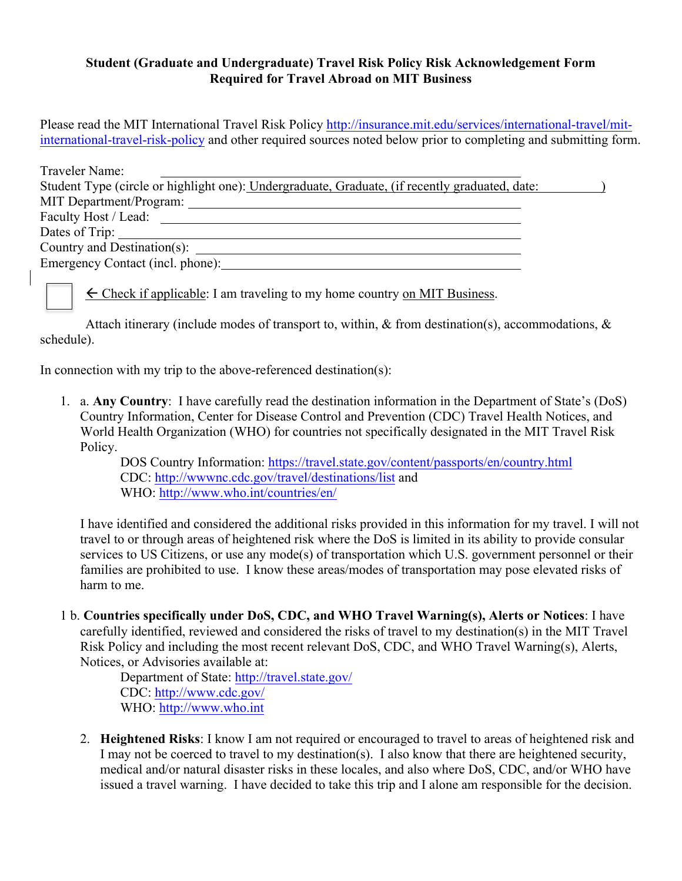## **Student (Graduate and Undergraduate) Travel Risk Policy Risk Acknowledgement Form Required for Travel Abroad on MIT Business**

Please read the MIT International Travel Risk Policy http://insurance.mit.edu/services/international-travel/mitinternational-travel-risk-policy and other required sources noted below prior to completing and submitting form.

| Traveler Name:                                                                                 |  |
|------------------------------------------------------------------------------------------------|--|
| Student Type (circle or highlight one): Undergraduate, Graduate, (if recently graduated, date: |  |
| MIT Department/Program:                                                                        |  |
| Faculty Host / Lead:                                                                           |  |
| Dates of Trip:                                                                                 |  |
| Country and Destination(s):                                                                    |  |
| Emergency Contact (incl. phone):                                                               |  |

 $\leftarrow$  Check if applicable: I am traveling to my home country on MIT Business.

Attach itinerary (include modes of transport to, within, & from destination(s), accommodations, & schedule).

In connection with my trip to the above-referenced destination(s):

1. a. **Any Country**: I have carefully read the destination information in the Department of State's (DoS) Country Information, Center for Disease Control and Prevention (CDC) Travel Health Notices, and World Health Organization (WHO) for countries not specifically designated in the MIT Travel Risk Policy.

DOS Country Information: https://travel.state.gov/content/passports/en/country.html CDC: http://wwwnc.cdc.gov/travel/destinations/list and WHO: http://www.who.int/countries/en/

I have identified and considered the additional risks provided in this information for my travel. I will not travel to or through areas of heightened risk where the DoS is limited in its ability to provide consular services to US Citizens, or use any mode(s) of transportation which U.S. government personnel or their families are prohibited to use. I know these areas/modes of transportation may pose elevated risks of harm to me.

1 b. **Countries specifically under DoS, CDC, and WHO Travel Warning(s), Alerts or Notices**: I have carefully identified, reviewed and considered the risks of travel to my destination(s) in the MIT Travel Risk Policy and including the most recent relevant DoS, CDC, and WHO Travel Warning(s), Alerts, Notices, or Advisories available at:

Department of State: http://travel.state.gov/ CDC: http://www.cdc.gov/ WHO: http://www.who.int

2. **Heightened Risks**: I know I am not required or encouraged to travel to areas of heightened risk and I may not be coerced to travel to my destination(s). I also know that there are heightened security, medical and/or natural disaster risks in these locales, and also where DoS, CDC, and/or WHO have issued a travel warning. I have decided to take this trip and I alone am responsible for the decision.